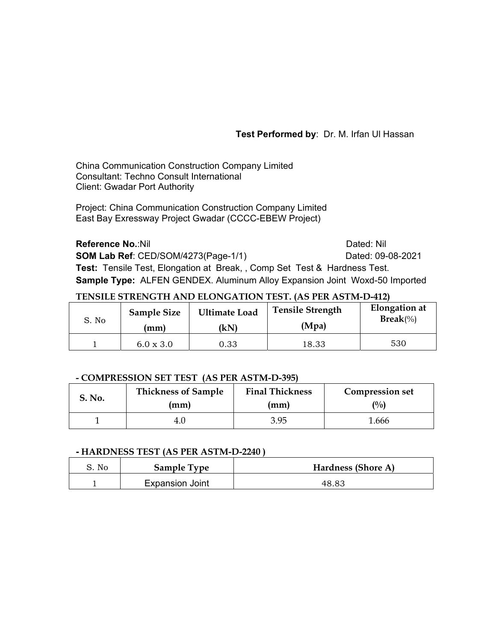# **Test Performed by**: Dr. M. Irfan Ul Hassan

China Communication Construction Company Limited Consultant: Techno Consult International Client: Gwadar Port Authority

Project: China Communication Construction Company Limited East Bay Exressway Project Gwadar (CCCC-EBEW Project)

**Reference No.:Nil Dated: Nil Dated: Nil Dated: Nil Dated: Nil Dated: Nil Dated: Nil Dated: Nil Dated: Nil Dated: Nil Dated: Nil Dated: Nil Dated: Nil Dated: Nil Dated: Nil Dated: Nil Dated: Nil Dated: Nil Dated: Nil Dat SOM Lab Ref**: CED/SOM/4273(Page-1/1) Dated: 09-08-2021 **Test:** Tensile Test, Elongation at Break, , Comp Set Test & Hardness Test. **Sample Type:** ALFEN GENDEX. Aluminum Alloy Expansion Joint Woxd-50 Imported

# **TENSILE STRENGTH AND ELONGATION TEST. (AS PER ASTM-D-412)**

| S. No | <b>Sample Size</b> | <b>Ultimate Load</b> | <b>Tensile Strength</b> | <b>Elongation</b> at |
|-------|--------------------|----------------------|-------------------------|----------------------|
|       | (mm)               | (kN)                 | (Mpa)                   | $\text{Break}(\%)$   |
|       | $6.0 \times 3.0$   | 0.33                 | 18.33                   | 530                  |

## **- COMPRESSION SET TEST (AS PER ASTM-D-395)**

| S. No. | <b>Thickness of Sample</b> | <b>Final Thickness</b> | <b>Compression set</b> |
|--------|----------------------------|------------------------|------------------------|
|        | (mm)                       | (mm)                   | (0/0)                  |
|        | 4.U                        | 3.95                   | 1.666                  |

## **- HARDNESS TEST (AS PER ASTM-D-2240 )**

| S. No | <b>Sample Type</b>     | Hardness (Shore A) |
|-------|------------------------|--------------------|
|       | <b>Expansion Joint</b> | 48.83              |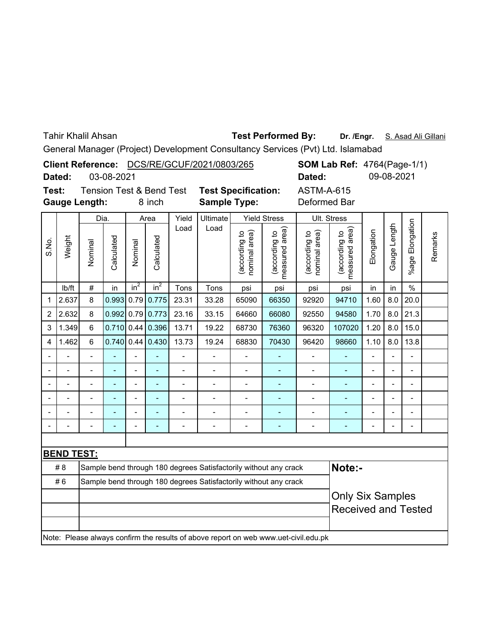Tahir Khalil Ahsan

## **Dr. /Engr.** S. Asad Ali Gillani **Test Performed By:**

General Manager (Project) Development Consultancy Services (Pvt) Ltd. Islamabad

|       |                         |                                                                  |            |                   |                                     |                              | Client Reference: DCS/RE/GCUF/2021/0803/265                      |                                |                                 |                                                                                     | <b>SOM Lab Ref: 4764(Page-1/1)</b> |                          |                |                          |         |
|-------|-------------------------|------------------------------------------------------------------|------------|-------------------|-------------------------------------|------------------------------|------------------------------------------------------------------|--------------------------------|---------------------------------|-------------------------------------------------------------------------------------|------------------------------------|--------------------------|----------------|--------------------------|---------|
|       | Dated:                  |                                                                  | 03-08-2021 |                   |                                     |                              |                                                                  |                                |                                 | Dated:                                                                              |                                    |                          | 09-08-2021     |                          |         |
| Test: |                         |                                                                  |            |                   | <b>Tension Test &amp; Bend Test</b> |                              | <b>Test Specification:</b>                                       |                                |                                 | <b>ASTM-A-615</b>                                                                   |                                    |                          |                |                          |         |
|       |                         | <b>Gauge Length:</b>                                             |            |                   | 8 inch                              |                              | <b>Sample Type:</b>                                              |                                |                                 | Deformed Bar                                                                        |                                    |                          |                |                          |         |
|       |                         | Dia.                                                             |            |                   | Area                                | Yield                        | Ultimate                                                         |                                | <b>Yield Stress</b>             |                                                                                     | Ult. Stress                        |                          |                |                          |         |
| S.No. | Weight                  | Nominal                                                          | Calculated | Nominal           | Calculated                          | Load                         | Load                                                             | (according to<br>nominal area) | measured area)<br>(according to | (according to<br>nominal area)                                                      | measured area)<br>(according to    | Elongation               | Gauge Length   | Elongation<br>%age I     | Remarks |
|       | Ib/ft                   | $\#$                                                             | in         | $\overline{in^2}$ | $in^2$                              | Tons                         | Tons                                                             | psi                            | psi                             | psi                                                                                 | psi                                | in                       | in             | $\frac{0}{0}$            |         |
| 1     | 2.637                   | 8                                                                | 0.993      | 0.79              | 0.775                               | 23.31                        | 33.28                                                            | 65090                          | 66350                           | 92920                                                                               | 94710                              | 1.60                     | 8.0            | 20.0                     |         |
| 2     | 2.632                   | 8                                                                | 0.992      | 0.79              | 0.773                               | 23.16                        | 33.15                                                            | 64660                          | 66080                           | 92550                                                                               | 94580                              | 1.70                     | 8.0            | 21.3                     |         |
| 3     | 1.349                   | 6                                                                | 0.710      | 0.44              | 0.396                               | 13.71                        | 19.22                                                            | 68730                          | 76360                           | 96320                                                                               | 107020                             | 1.20                     | 8.0            | 15.0                     |         |
| 4     | 1.462                   | 6                                                                | 0.740      | 0.44              | 0.430                               | 13.73                        | 19.24                                                            | 68830                          | 70430                           | 96420                                                                               | 98660                              | 1.10                     | 8.0            | 13.8                     |         |
|       |                         |                                                                  |            |                   |                                     | $\qquad \qquad \blacksquare$ |                                                                  |                                |                                 | $\overline{a}$                                                                      | ۰                                  | $\overline{\phantom{0}}$ |                | $\overline{a}$           |         |
|       |                         |                                                                  |            |                   |                                     |                              |                                                                  |                                |                                 | $\overline{a}$                                                                      | L,                                 |                          |                | L.                       |         |
|       |                         | $\overline{a}$                                                   |            | $\overline{a}$    | $\overline{a}$                      | $\overline{a}$               | $\overline{\phantom{a}}$                                         | $\overline{a}$                 | ÷,                              | $\overline{a}$                                                                      | ä,                                 | $\overline{\phantom{0}}$ | $\blacksquare$ | $\overline{\phantom{a}}$ |         |
|       |                         | $\overline{a}$                                                   | ÷,         | $\overline{a}$    | $\blacksquare$                      | $\overline{a}$               | $\overline{\phantom{0}}$                                         | L,                             | L,                              | $\overline{a}$                                                                      | ÷,                                 | $\blacksquare$           |                | $\overline{a}$           |         |
|       |                         |                                                                  |            |                   |                                     |                              |                                                                  |                                |                                 |                                                                                     | ÷,                                 |                          |                | $\overline{a}$           |         |
|       |                         |                                                                  |            | $\overline{a}$    |                                     | $\blacksquare$               |                                                                  |                                |                                 | $\overline{a}$                                                                      | ÷                                  |                          |                | $\overline{a}$           |         |
|       |                         |                                                                  |            |                   |                                     |                              |                                                                  |                                |                                 |                                                                                     |                                    |                          |                |                          |         |
|       | <b>BEND TEST:</b>       |                                                                  |            |                   |                                     |                              |                                                                  |                                |                                 |                                                                                     |                                    |                          |                |                          |         |
|       | #8                      |                                                                  |            |                   |                                     |                              | Sample bend through 180 degrees Satisfactorily without any crack |                                |                                 |                                                                                     | Note:-                             |                          |                |                          |         |
|       | #6                      | Sample bend through 180 degrees Satisfactorily without any crack |            |                   |                                     |                              |                                                                  |                                |                                 |                                                                                     |                                    |                          |                |                          |         |
|       | <b>Only Six Samples</b> |                                                                  |            |                   |                                     |                              |                                                                  |                                |                                 |                                                                                     |                                    |                          |                |                          |         |
|       |                         |                                                                  |            |                   |                                     |                              |                                                                  |                                |                                 |                                                                                     | <b>Received and Tested</b>         |                          |                |                          |         |
|       |                         |                                                                  |            |                   |                                     |                              |                                                                  |                                |                                 | Note: Please always confirm the results of above report on web www.uet-civil.edu.pk |                                    |                          |                |                          |         |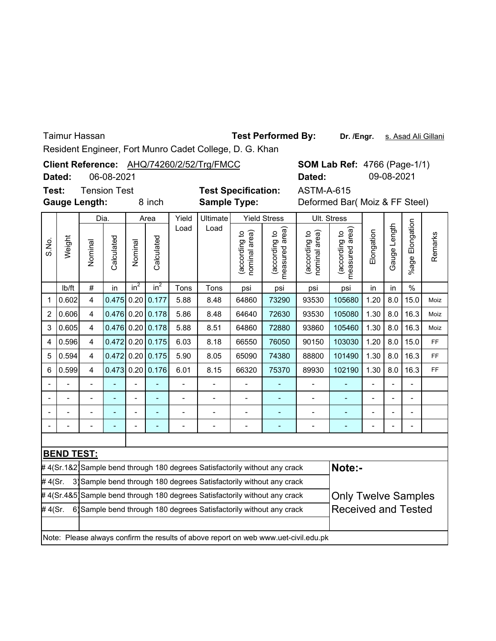Taimur Hassan

**Dr. /Engr.** s. Asad Ali Gillani **Test Performed By:**

Resident Engineer, Fort Munro Cadet College, D. G. Khan

|                 |                   |                      |              |         |                 |                          | Client Reference: AHQ/74260/2/52/Trg/FMCC                                   |                                |                                 | <b>SOM Lab Ref: 4766 (Page-1/1)</b>                                                 |                                 |                                |              |                 |         |
|-----------------|-------------------|----------------------|--------------|---------|-----------------|--------------------------|-----------------------------------------------------------------------------|--------------------------------|---------------------------------|-------------------------------------------------------------------------------------|---------------------------------|--------------------------------|--------------|-----------------|---------|
|                 | Dated:            |                      | 06-08-2021   |         |                 |                          |                                                                             |                                |                                 | Dated:                                                                              |                                 |                                | 09-08-2021   |                 |         |
| Test:           |                   | <b>Tension Test</b>  |              |         |                 |                          | <b>Test Specification:</b>                                                  |                                |                                 | <b>ASTM-A-615</b>                                                                   |                                 |                                |              |                 |         |
|                 |                   | <b>Gauge Length:</b> |              |         | 8 inch          |                          | <b>Sample Type:</b>                                                         |                                |                                 |                                                                                     |                                 | Deformed Bar( Moiz & FF Steel) |              |                 |         |
|                 |                   | Dia.                 |              |         | Area            | Yield                    | Ultimate                                                                    |                                | <b>Yield Stress</b>             |                                                                                     | Ult. Stress                     |                                |              |                 |         |
| Weight<br>S.No. |                   | Nominal              | Calculated   | Nominal | Calculated      | Load                     | Load                                                                        | (according to<br>nominal area) | measured area)<br>(according to | area)<br>(according to<br>nominal                                                   | measured area)<br>(according to | Elongation                     | Gauge Length | %age Elongation | Remarks |
|                 | lb/ft             | $\#$                 | in           | $in^2$  | in <sup>2</sup> | Tons                     | Tons                                                                        | psi                            | psi                             | psi                                                                                 | psi                             | in                             | in           | $\%$            |         |
| $\mathbf 1$     | 0.602             | 4                    | 0.475        | 0.20    | 0.177           | 5.88                     | 8.48                                                                        | 64860                          | 73290                           | 93530                                                                               | 105680                          | 1.20                           | 8.0          | 15.0            | Moiz    |
| $\overline{2}$  | 0.606             | 4                    | $0.476$ 0.20 |         | 0.178           | 5.86                     | 8.48                                                                        | 64640                          | 72630                           | 93530                                                                               | 105080                          | 1.30                           | 8.0          | 16.3            | Moiz    |
| 3               | 0.605             | 4                    | $0.476$ 0.20 |         | 0.178           | 5.88                     | 8.51                                                                        | 64860                          | 72880                           | 93860                                                                               | 105460                          | 1.30                           | 8.0          | 16.3            | Moiz    |
| 4               | 0.596             | 4                    | $0.472$ 0.20 |         | 0.175           | 6.03                     | 8.18                                                                        | 66550                          | 76050                           | 90150                                                                               | 103030                          | 1.20                           | 8.0          | 15.0            | FF      |
| 5               | 0.594             | 4                    | $0.472$ 0.20 |         | 0.175           | 5.90                     | 8.05                                                                        | 65090                          | 74380                           | 88800                                                                               | 101490                          | 1.30                           | 8.0          | 16.3            | FF      |
| 6               | 0.599             | 4                    | 0.473        | 0.20    | 0.176           | 6.01                     | 8.15                                                                        | 66320                          | 75370                           | 89930                                                                               | 102190                          | 1.30                           | 8.0          | 16.3            | FF      |
|                 |                   |                      |              |         |                 | $\overline{\phantom{a}}$ |                                                                             | $\overline{\phantom{0}}$       |                                 | $\overline{\phantom{0}}$                                                            | Ξ                               |                                |              | $\overline{a}$  |         |
|                 |                   |                      |              |         |                 |                          |                                                                             |                                |                                 |                                                                                     |                                 |                                |              |                 |         |
|                 |                   |                      |              |         | ÷,              | $\overline{a}$           | $\overline{a}$                                                              | $\overline{\phantom{0}}$       |                                 | $\overline{a}$                                                                      | ÷,                              |                                |              | $\overline{a}$  |         |
|                 |                   |                      |              |         |                 | -                        | $\overline{a}$                                                              | ÷                              | ÷                               | $\qquad \qquad \blacksquare$                                                        | ٠                               |                                |              | $\overline{a}$  |         |
|                 |                   |                      |              |         |                 |                          |                                                                             |                                |                                 |                                                                                     |                                 |                                |              |                 |         |
|                 | <b>BEND TEST:</b> |                      |              |         |                 |                          |                                                                             |                                |                                 |                                                                                     |                                 |                                |              |                 |         |
|                 |                   |                      |              |         |                 |                          | # 4(Sr.1&2 Sample bend through 180 degrees Satisfactorily without any crack |                                |                                 |                                                                                     | Note:-                          |                                |              |                 |         |
| #4(Sr.          |                   |                      |              |         |                 |                          | 3) Sample bend through 180 degrees Satisfactorily without any crack         |                                |                                 |                                                                                     |                                 |                                |              |                 |         |
|                 |                   |                      |              |         |                 |                          | # 4(Sr.4&5]Sample bend through 180 degrees Satisfactorily without any crack |                                |                                 |                                                                                     | <b>Only Twelve Samples</b>      |                                |              |                 |         |
| #4(Sr.          |                   |                      |              |         |                 |                          | 6 Sample bend through 180 degrees Satisfactorily without any crack          |                                |                                 |                                                                                     | <b>Received and Tested</b>      |                                |              |                 |         |
|                 |                   |                      |              |         |                 |                          |                                                                             |                                |                                 | Note: Please always confirm the results of above report on web www.uet-civil.edu.pk |                                 |                                |              |                 |         |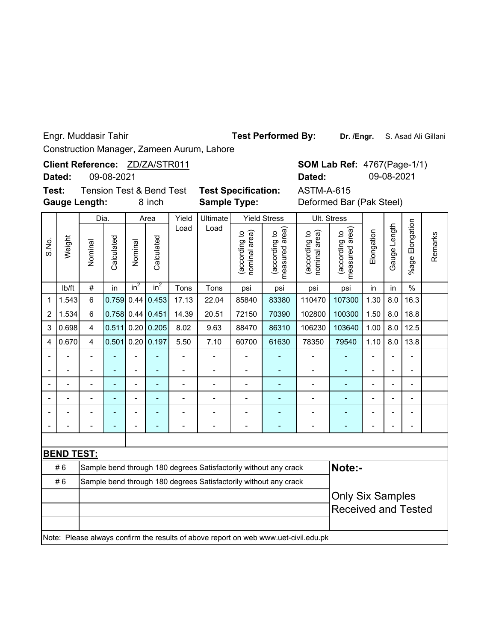Engr. Muddasir Tahir

**Test Performed By:**

Dr. /Engr. S. Asad Ali Gillani

Construction Manager, Zameen Aurum, Lahore

**Client Reference:** ZD/ZA/STR011

09-08-2021 **Dated:**

**Test: Gauge Length:**

**Sample Type:** Tension Test & Bend Test **Test Specification:**

ASTM-A-615

**SOM Lab Ref: 4767(Page-1/1)** 

**Dated:** 09-08-2021

|                |                   | Dia.                                                             |                |                | Area           | Yield                    | Ultimate                 |                                | <b>Yield Stress</b>                                                                 | Ult. Stress                    |                                 |                          |                |                          |         |
|----------------|-------------------|------------------------------------------------------------------|----------------|----------------|----------------|--------------------------|--------------------------|--------------------------------|-------------------------------------------------------------------------------------|--------------------------------|---------------------------------|--------------------------|----------------|--------------------------|---------|
| S.No.          | Weight            | Nominal                                                          | Calculated     | Nominal        | Calculated     | Load                     | Load                     | (according to<br>nominal area) | measured area)<br>(according to                                                     | (according to<br>nominal area) | measured area)<br>(according to | Elongation               | Gauge Length   | %age Elongation          | Remarks |
|                | Ib/ft             | $\#$                                                             | in             | $in^2$         | $in^2$         | Tons                     | Tons                     | psi                            | psi                                                                                 | psi                            | psi                             | in                       | in             | $\%$                     |         |
| 1              | 1.543             | 6                                                                | 0.759          | 0.44           | 0.453          | 17.13                    | 22.04                    | 85840                          | 83380                                                                               | 110470                         | 107300                          | 1.30                     | 8.0            | 16.3                     |         |
| $\overline{2}$ | 1.534             | 6                                                                | 0.758          |                | $0.44$ 0.451   | 14.39                    | 20.51                    | 72150                          | 70390                                                                               | 102800                         | 100300                          | 1.50                     | 8.0            | 18.8                     |         |
| 3              | 0.698             | $\overline{4}$                                                   | 0.511          | 0.20           | 0.205          | 8.02                     | 9.63                     | 88470                          | 86310                                                                               | 106230                         | 103640                          | 1.00                     | 8.0            | 12.5                     |         |
| 4              | 0.670             | $\overline{4}$                                                   | 0.501          | 0.20           | 0.197          | 5.50                     | 7.10                     | 60700                          | 61630                                                                               | 78350                          | 79540                           | 1.10                     | 8.0            | 13.8                     |         |
|                |                   | $\blacksquare$                                                   | ÷              | $\overline{a}$ | $\blacksquare$ | $\overline{\phantom{0}}$ | $\overline{\phantom{0}}$ | $\overline{a}$                 | ÷,                                                                                  | $\overline{a}$                 | Ē,                              | $\overline{\phantom{a}}$ | $\overline{a}$ | $\overline{\phantom{a}}$ |         |
|                |                   | $\overline{a}$                                                   | L,             | $\overline{a}$ | $\blacksquare$ | $\overline{a}$           | $\overline{a}$           | $\overline{a}$                 | L,                                                                                  | $\overline{a}$                 | ٠                               | $\blacksquare$           | $\overline{a}$ | $\blacksquare$           |         |
|                |                   | $\overline{a}$                                                   | L,             | $\overline{a}$ | $\blacksquare$ | $\overline{a}$           | $\overline{a}$           | $\overline{a}$                 | L,                                                                                  | $\overline{a}$                 | L,                              | $\blacksquare$           | $\overline{a}$ | $\blacksquare$           |         |
|                |                   |                                                                  | Ē,             | Ĭ.             |                |                          |                          | Ĭ.                             |                                                                                     |                                |                                 |                          | $\blacksquare$ |                          |         |
|                |                   |                                                                  | $\overline{a}$ | L.             |                |                          |                          | $\blacksquare$                 |                                                                                     |                                |                                 |                          | $\blacksquare$ |                          |         |
|                |                   |                                                                  |                | L.             |                |                          |                          |                                |                                                                                     |                                |                                 |                          |                |                          |         |
|                |                   |                                                                  |                |                |                |                          |                          |                                |                                                                                     |                                |                                 |                          |                |                          |         |
|                | <b>BEND TEST:</b> |                                                                  |                |                |                |                          |                          |                                |                                                                                     |                                |                                 |                          |                |                          |         |
|                | #6                |                                                                  |                |                |                |                          |                          |                                | Sample bend through 180 degrees Satisfactorily without any crack                    |                                | Note:-                          |                          |                |                          |         |
|                | #6                | Sample bend through 180 degrees Satisfactorily without any crack |                |                |                |                          |                          |                                |                                                                                     |                                |                                 |                          |                |                          |         |
|                |                   | <b>Only Six Samples</b>                                          |                |                |                |                          |                          |                                |                                                                                     |                                |                                 |                          |                |                          |         |
|                |                   |                                                                  |                |                |                |                          |                          |                                |                                                                                     |                                | <b>Received and Tested</b>      |                          |                |                          |         |
|                |                   |                                                                  |                |                |                |                          |                          |                                |                                                                                     |                                |                                 |                          |                |                          |         |
|                |                   |                                                                  |                |                |                |                          |                          |                                | Note: Please always confirm the results of above report on web www.uet-civil.edu.pk |                                |                                 |                          |                |                          |         |

8 inch **Sample Type:** Deformed Bar (Pak Steel)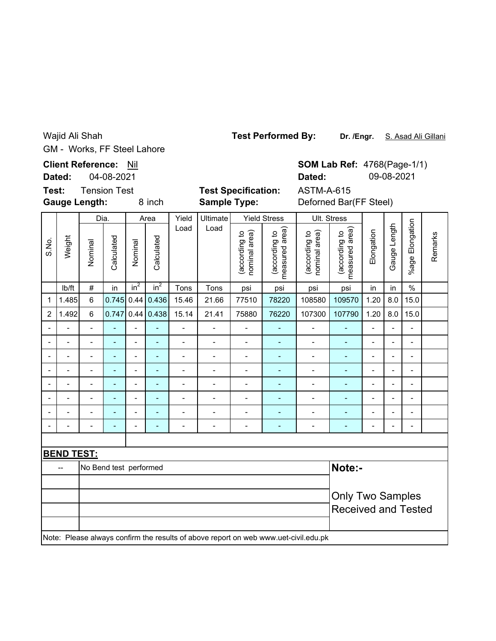Wajid Ali Shah GM - Works, FF Steel Lahore **Test Performed By:**

Dr. /Engr. S. Asad Ali Gillani

**Client Reference:** Nil **SOM Lab Ref: 4768(Page-1/1) Dated:** 09-08-2021 **Dated:** 04-08-2021 **Test:** Tension Test **Test Specification:** ASTM-A-615 8 inch **Sample Type:** Deforned Bar(FF Steel) **Gauge Length: Sample Type:** Dia. AreaYield Ultimate Yield Stress Ult. Stress %age Elongation %age Elongation Gauge Length Load Load (according to<br>measured area) (according to<br>measured area) Gauge Length (according to<br>nominal area) measured area) (according to<br>nominal area) measured area) (according to (according to (according to (according to Elongation nominal area) nominal area) Remarks Weight Remarks Calculated Calculated S.No. Calculated Calculated Nominal Nominal lb/ft  $\mid$  #  $\mid$  in  $\mid$  in $^{2}$   $\mid$  in $^{2}$   $\mid$  Tons  $\mid$  Tons  $\mid$  psi  $\mid$  psi  $\mid$  psi  $\mid$  in  $\mid$  in  $\mid$  % 1 |1.485| 6 |0.745| 0.44| 0.436| 15.46 | 21.66 | 77510 | 78220 | 108580 | 109570 | 1.20 | 8.0 | 15.0 2 1.492 6 0.747 0.44 0.438 15.14 21.41 75880 76220 107300 107790 1.20 8.0 15.0 -- - - - - - - - - - - - -- -- - - - - - - - - - - - -- -- - - - - - - - - - - - -- -- - - - - - - - - - - - -- -- - - - - - - - - - - - -- -- - - - - - - - - - - - -- -- - - - - - - - - - - - -- -- - - - - - - - - - - - -- **BEND TEST:** -- No Bend test performed **Note:-** Only Two Samples Received and Tested Note: Please always confirm the results of above report on web www.uet-civil.edu.pk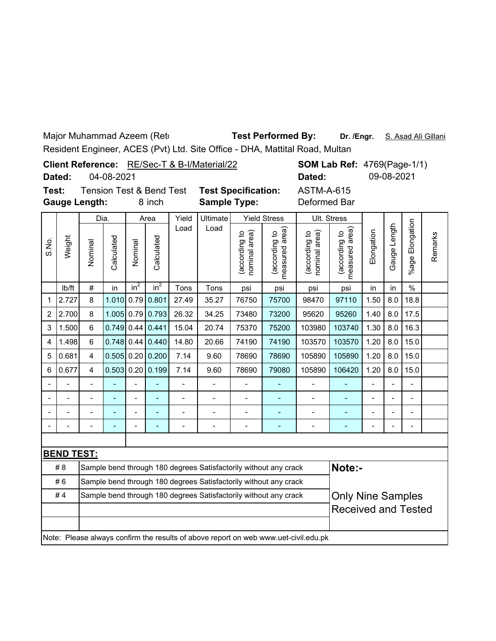Major Muhammad Azeem (Retd **Test Performed By:** 

Dr. /Engr. S. Asad Ali Gillani

Resident Engineer, ACES (Pvt) Ltd. Site Office - DHA, Mattital Road, Multan

|               |            | <b>Client Reference:</b> RE/Sec-T & B-I/Material/22 |                            |              | <b>SOM Lab Ref: 4769(Page-1/1)</b> |
|---------------|------------|-----------------------------------------------------|----------------------------|--------------|------------------------------------|
| Dated:        | 04-08-2021 |                                                     |                            | Dated:       | 09-08-2021                         |
| Test:         |            | <b>Tension Test &amp; Bend Test</b>                 | <b>Test Specification:</b> | ASTM-A-615   |                                    |
| Gauge Length: |            | 8 inch                                              | <b>Sample Type:</b>        | Deformed Bar |                                    |

|                |                   | Dia.                                                                                         |              |                          | Area               | Yield                    | Ultimate |                                | <b>Yield Stress</b>                                              |                                                                                     | Ult. Stress                     |                |                          |                      |         |
|----------------|-------------------|----------------------------------------------------------------------------------------------|--------------|--------------------------|--------------------|--------------------------|----------|--------------------------------|------------------------------------------------------------------|-------------------------------------------------------------------------------------|---------------------------------|----------------|--------------------------|----------------------|---------|
| S.No.          | Weight            | Nominal                                                                                      | Calculated   | Nominal                  | Calculated         | Load                     | Load     | nominal area)<br>(according to | measured area)<br>(according to                                  | nominal area)<br>(according to                                                      | measured area)<br>(according to | Elongation     | Gauge Length             | Elongation<br>%age l | Remarks |
|                | Ib/ft             | $\#$                                                                                         | in           | $in^2$                   | $in^2$             | Tons                     | Tons     | psi                            | psi                                                              | psi                                                                                 | psi                             | in             | in                       | $\frac{0}{0}$        |         |
| 1              | 2.727             | 8                                                                                            | 1.010        | 0.79                     | 0.801              | 27.49                    | 35.27    | 76750                          | 75700                                                            | 98470                                                                               | 97110                           | 1.50           | 8.0                      | 18.8                 |         |
| $\overline{c}$ | 2.700             | 8                                                                                            | 1.005        |                          | $0.79$ 0.793       | 26.32                    | 34.25    | 73480                          | 73200                                                            | 95620                                                                               | 95260                           | 1.40           | 8.0                      | 17.5                 |         |
| 3              | 1.500             | 6                                                                                            | 0.749        |                          | $0.44$ 0.441       | 15.04                    | 20.74    | 75370                          | 75200                                                            | 103980                                                                              | 103740                          | 1.30           | 8.0                      | 16.3                 |         |
| 4              | 1.498             | 6                                                                                            |              |                          | $0.748$ 0.44 0.440 | 14.80                    | 20.66    | 74190                          | 74190                                                            | 103570                                                                              | 103570                          | 1.20           | 8.0                      | 15.0                 |         |
| 5              | 0.681             | 4                                                                                            | $0.505$ 0.20 |                          | 0.200              | 7.14                     | 9.60     | 78690                          | 78690                                                            | 105890                                                                              | 105890                          | 1.20           | 8.0                      | 15.0                 |         |
| 6              | 0.677             | $\overline{4}$                                                                               | 0.503        | 0.20                     | 0.199              | 7.14                     | 9.60     | 78690                          | 79080                                                            | 105890                                                                              | 106420                          | 1.20           | 8.0                      | 15.0                 |         |
|                |                   | $\overline{a}$                                                                               | ÷,           | $\overline{a}$           | ä,                 | $\overline{\phantom{a}}$ |          | ÷,                             |                                                                  |                                                                                     |                                 | $\overline{a}$ | $\overline{\phantom{a}}$ | Ξ.                   |         |
|                |                   |                                                                                              |              |                          |                    | $\overline{a}$           |          | L,                             |                                                                  |                                                                                     |                                 |                |                          | ۰                    |         |
|                |                   |                                                                                              | ۰            | $\overline{\phantom{a}}$ |                    | $\overline{a}$           |          | L.                             |                                                                  |                                                                                     |                                 |                |                          | $\overline{a}$       |         |
|                |                   |                                                                                              | ۰            | $\blacksquare$           | ۳                  |                          |          | ۰                              |                                                                  |                                                                                     |                                 |                | $\overline{a}$           | ۰                    |         |
|                |                   |                                                                                              |              |                          |                    |                          |          |                                |                                                                  |                                                                                     |                                 |                |                          |                      |         |
|                | <b>BEND TEST:</b> |                                                                                              |              |                          |                    |                          |          |                                |                                                                  |                                                                                     |                                 |                |                          |                      |         |
|                | #8                |                                                                                              |              |                          |                    |                          |          |                                | Sample bend through 180 degrees Satisfactorily without any crack |                                                                                     | Note:-                          |                |                          |                      |         |
|                | #6                |                                                                                              |              |                          |                    |                          |          |                                | Sample bend through 180 degrees Satisfactorily without any crack |                                                                                     |                                 |                |                          |                      |         |
|                | #4                | <b>Only Nine Samples</b><br>Sample bend through 180 degrees Satisfactorily without any crack |              |                          |                    |                          |          |                                |                                                                  |                                                                                     |                                 |                |                          |                      |         |
|                |                   |                                                                                              |              |                          |                    |                          |          |                                |                                                                  |                                                                                     | <b>Received and Tested</b>      |                |                          |                      |         |
|                |                   |                                                                                              |              |                          |                    |                          |          |                                |                                                                  |                                                                                     |                                 |                |                          |                      |         |
|                |                   |                                                                                              |              |                          |                    |                          |          |                                |                                                                  | Note: Please always confirm the results of above report on web www.uet-civil.edu.pk |                                 |                |                          |                      |         |